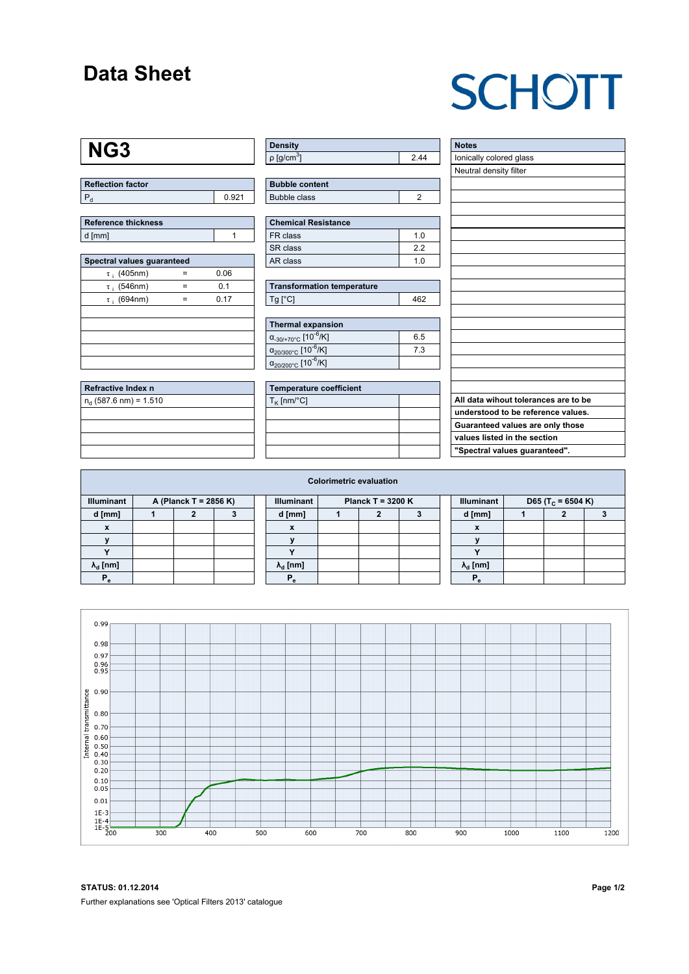### **Data Sheet**

# **SCHOTT**

### **NG3**

| <b>Reflection factor</b> |  |
|--------------------------|--|
|                          |  |

| Reference thickness |  |  |  |  |  |  |  |
|---------------------|--|--|--|--|--|--|--|
| d [mm]              |  |  |  |  |  |  |  |

| Spectral values guaranteed |   |      |  |  |  |  |  |  |  |
|----------------------------|---|------|--|--|--|--|--|--|--|
| $\tau$ ; (405nm)           |   | 0.06 |  |  |  |  |  |  |  |
| $\tau$ ; (546nm)           | = | 0.1  |  |  |  |  |  |  |  |
| $\tau$ ; (694nm)           | = | 0.17 |  |  |  |  |  |  |  |
|                            |   |      |  |  |  |  |  |  |  |
|                            |   |      |  |  |  |  |  |  |  |
|                            |   |      |  |  |  |  |  |  |  |
|                            |   |      |  |  |  |  |  |  |  |
|                            |   |      |  |  |  |  |  |  |  |

| Refractive Index n         |  |
|----------------------------|--|
| $n_{d}$ (587.6 nm) = 1.510 |  |
|                            |  |
|                            |  |
|                            |  |
|                            |  |

| ∣ Density                |    |
|--------------------------|----|
| $p$ [g/cm <sup>3</sup> ] | 44 |

| <b>Bubble content</b> |  |
|-----------------------|--|
| Bubble class          |  |

| <b>Chemical Resistance</b> |                |  |  |  |  |  |
|----------------------------|----------------|--|--|--|--|--|
| FR class                   | 1 <sub>0</sub> |  |  |  |  |  |
| SR class                   | 22             |  |  |  |  |  |
| AR class                   | 1 በ            |  |  |  |  |  |

| <b>Transformation temperature</b> |     |  |  |  |  |  |
|-----------------------------------|-----|--|--|--|--|--|
| $Ta$ $C1$                         | 162 |  |  |  |  |  |

| Thermal expansion                                 |     |  |  |  |  |  |  |
|---------------------------------------------------|-----|--|--|--|--|--|--|
| $\alpha_{-30/+70\degree}$ c [10 <sup>-6</sup> /K] | 6.5 |  |  |  |  |  |  |
| $\alpha_{20/300^{\circ}C}$ [10 <sup>-6</sup> /K]  | 7.3 |  |  |  |  |  |  |
| $\alpha_{20/200^{\circ}C}$ [10 <sup>-6</sup> /K]  |     |  |  |  |  |  |  |

| Temperature coefficient |  |  |  |  |  |  |  |
|-------------------------|--|--|--|--|--|--|--|
| $T_{\rm K}$ [nm/°C]     |  |  |  |  |  |  |  |
|                         |  |  |  |  |  |  |  |
|                         |  |  |  |  |  |  |  |
|                         |  |  |  |  |  |  |  |
|                         |  |  |  |  |  |  |  |

| <b>Notes</b>                         |
|--------------------------------------|
| lonically colored glass              |
| Neutral density filter               |
|                                      |
|                                      |
|                                      |
|                                      |
|                                      |
|                                      |
|                                      |
|                                      |
|                                      |
|                                      |
|                                      |
|                                      |
|                                      |
|                                      |
|                                      |
|                                      |
|                                      |
| All data wihout tolerances are to be |
| understood to be reference values.   |
| Guaranteed values are only those     |
| values listed in the section         |
| "Spectral values guaranteed".        |
|                                      |

| <b>Colorimetric evaluation</b>             |  |  |  |  |                                          |  |  |  |  |                                                    |  |  |  |
|--------------------------------------------|--|--|--|--|------------------------------------------|--|--|--|--|----------------------------------------------------|--|--|--|
| <b>Illuminant</b><br>A (Planck T = 2856 K) |  |  |  |  | <b>Illuminant</b><br>Planck T = $3200 K$ |  |  |  |  | <b>Illuminant</b><br>D65 (T <sub>c</sub> = 6504 K) |  |  |  |
| d [mm]                                     |  |  |  |  | d [mm]                                   |  |  |  |  | d [mm]                                             |  |  |  |
| X                                          |  |  |  |  | X                                        |  |  |  |  | x                                                  |  |  |  |
|                                            |  |  |  |  |                                          |  |  |  |  |                                                    |  |  |  |
|                                            |  |  |  |  |                                          |  |  |  |  | v                                                  |  |  |  |
| $\lambda_{d}$ [nm]                         |  |  |  |  | $\lambda_{\rm d}$ [nm]                   |  |  |  |  | $\lambda_{\rm d}$ [nm]                             |  |  |  |
| $P_e$                                      |  |  |  |  | P                                        |  |  |  |  | Р,                                                 |  |  |  |